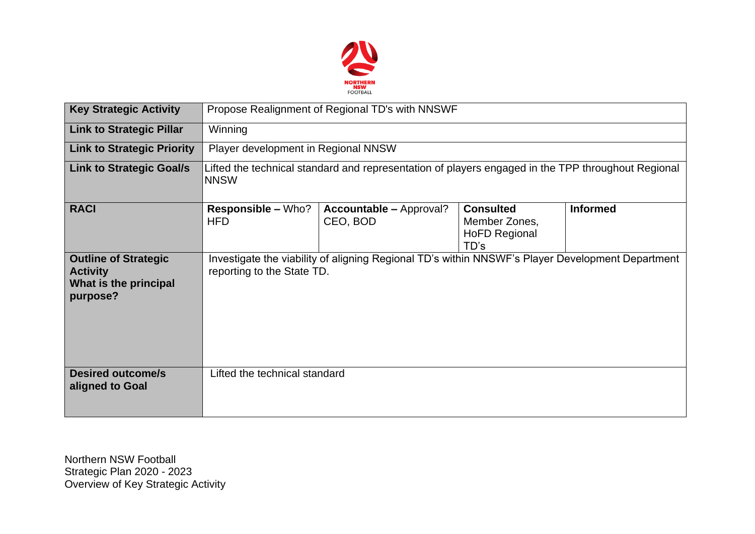

| <b>Key Strategic Activity</b>                                                       | Propose Realignment of Regional TD's with NNSWF                                                                   |                                                                                                  |                                                                   |                 |  |  |  |
|-------------------------------------------------------------------------------------|-------------------------------------------------------------------------------------------------------------------|--------------------------------------------------------------------------------------------------|-------------------------------------------------------------------|-----------------|--|--|--|
| <b>Link to Strategic Pillar</b>                                                     | Winning                                                                                                           |                                                                                                  |                                                                   |                 |  |  |  |
| <b>Link to Strategic Priority</b>                                                   | Player development in Regional NNSW                                                                               |                                                                                                  |                                                                   |                 |  |  |  |
| <b>Link to Strategic Goal/s</b>                                                     | Lifted the technical standard and representation of players engaged in the TPP throughout Regional<br><b>NNSW</b> |                                                                                                  |                                                                   |                 |  |  |  |
| <b>RACI</b>                                                                         | Responsible - Who?<br><b>HFD</b>                                                                                  | <b>Accountable – Approval?</b><br>CEO, BOD                                                       | <b>Consulted</b><br>Member Zones,<br><b>HoFD Regional</b><br>TD's | <b>Informed</b> |  |  |  |
| <b>Outline of Strategic</b><br><b>Activity</b><br>What is the principal<br>purpose? | reporting to the State TD.                                                                                        | Investigate the viability of aligning Regional TD's within NNSWF's Player Development Department |                                                                   |                 |  |  |  |
| <b>Desired outcome/s</b><br>aligned to Goal                                         | Lifted the technical standard                                                                                     |                                                                                                  |                                                                   |                 |  |  |  |

Northern NSW Football Strategic Plan 2020 - 2023 Overview of Key Strategic Activity